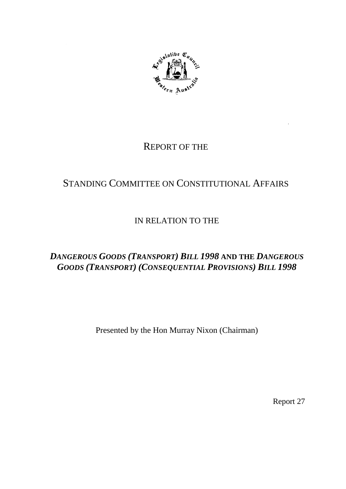

# REPORT OF THE

# STANDING COMMITTEE ON CONSTITUTIONAL AFFAIRS

# IN RELATION TO THE

# *DANGEROUS GOODS (TRANSPORT) BILL 1998* **AND THE** *DANGEROUS GOODS (TRANSPORT) (CONSEQUENTIAL PROVISIONS) BILL 1998*

Presented by the Hon Murray Nixon (Chairman)

Report 27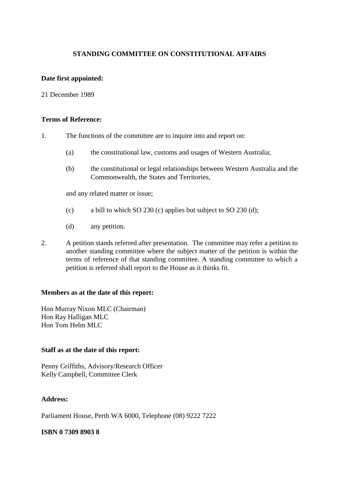#### **STANDING COMMITTEE ON CONSTITUTIONAL AFFAIRS**

#### **Date first appointed:**

21 December 1989

#### **Terms of Reference:**

- 1. The functions of the committee are to inquire into and report on:
	- (a) the constitutional law, customs and usages of Western Australia;
	- (b) the constitutional or legal relationships between Western Australia and the Commonwealth, the States and Territories,

and any related matter or issue;

- (c) a bill to which SO 230 (c) applies but subject to SO 230 (d);
- (d) any petition.
- 2. A petition stands referred after presentation. The committee may refer a petition to another standing committee where the subject matter of the petition is within the terms of reference of that standing committee. A standing committee to which a petition is referred shall report to the House as it thinks fit.

#### **Members as at the date of this report:**

Hon Murray Nixon MLC (Chairman) Hon Ray Halligan MLC Hon Tom Helm MLC

#### **Staff as at the date of this report:**

Penny Griffiths, Advisory/Research Officer Kelly Campbell, Committee Clerk

#### **Address:**

Parliament House, Perth WA 6000, Telephone (08) 9222 7222

#### **ISBN 0 7309 8903 8**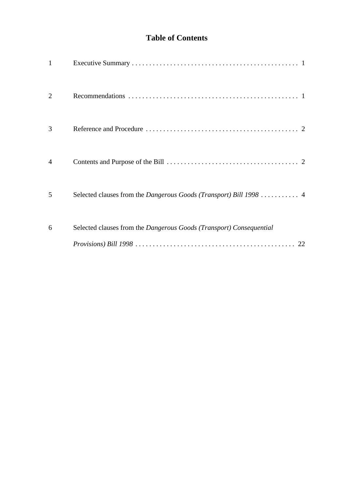# **Table of Contents**

| $\mathbf{1}$   |                                                                     |
|----------------|---------------------------------------------------------------------|
| $\overline{2}$ |                                                                     |
| 3              |                                                                     |
| $\overline{4}$ |                                                                     |
| 5              | Selected clauses from the Dangerous Goods (Transport) Bill 1998  4  |
| 6              | Selected clauses from the Dangerous Goods (Transport) Consequential |
|                | 22                                                                  |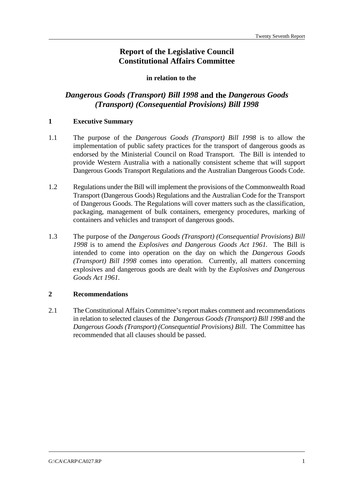# **Report of the Legislative Council Constitutional Affairs Committee**

#### **in relation to the**

## *Dangerous Goods (Transport) Bill 1998* **and the** *Dangerous Goods (Transport) (Consequential Provisions) Bill 1998*

#### **1 Executive Summary**

- 1.1 The purpose of the *Dangerous Goods (Transport) Bill 1998* is to allow the implementation of public safety practices for the transport of dangerous goods as endorsed by the Ministerial Council on Road Transport. The Bill is intended to provide Western Australia with a nationally consistent scheme that will support Dangerous Goods Transport Regulations and the Australian Dangerous Goods Code.
- 1.2 Regulations under the Bill will implement the provisions of the Commonwealth Road Transport (Dangerous Goods) Regulations and the Australian Code for the Transport of Dangerous Goods. The Regulations will cover matters such as the classification, packaging, management of bulk containers, emergency procedures, marking of containers and vehicles and transport of dangerous goods.
- 1.3 The purpose of the *Dangerous Goods (Transport) (Consequential Provisions) Bill 1998* is to amend the *Explosives and Dangerous Goods Act 1961.* The Bill is intended to come into operation on the day on which the *Dangerous Goods (Transport) Bill 1998* comes into operation. Currently, all matters concerning explosives and dangerous goods are dealt with by the *Explosives and Dangerous Goods Act 1961.*

#### **2 Recommendations**

2.1 The Constitutional Affairs Committee's report makes comment and recommendations in relation to selected clauses of the *Dangerous Goods (Transport) Bill 1998* and the *Dangerous Goods (Transport) (Consequential Provisions) Bill*. The Committee has recommended that all clauses should be passed.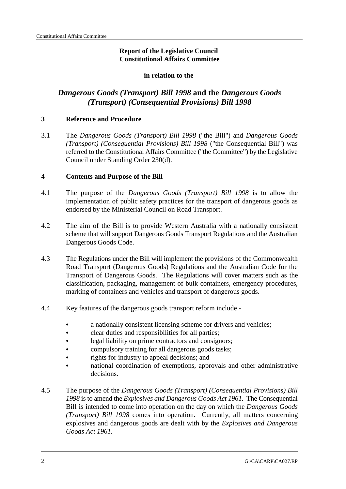### **Report of the Legislative Council Constitutional Affairs Committee**

#### **in relation to the**

# *Dangerous Goods (Transport) Bill 1998* **and the** *Dangerous Goods (Transport) (Consequential Provisions) Bill 1998*

#### **3 Reference and Procedure**

3.1 The *Dangerous Goods (Transport) Bill 1998* ("the Bill") and *Dangerous Goods (Transport) (Consequential Provisions) Bill 1998* ("the Consequential Bill") was referred to the Constitutional Affairs Committee ("the Committee") by the Legislative Council under Standing Order 230(d).

#### **4 Contents and Purpose of the Bill**

- 4.1 The purpose of the *Dangerous Goods (Transport) Bill 1998* is to allow the implementation of public safety practices for the transport of dangerous goods as endorsed by the Ministerial Council on Road Transport.
- 4.2 The aim of the Bill is to provide Western Australia with a nationally consistent scheme that will support Dangerous Goods Transport Regulations and the Australian Dangerous Goods Code.
- 4.3 The Regulations under the Bill will implement the provisions of the Commonwealth Road Transport (Dangerous Goods) Regulations and the Australian Code for the Transport of Dangerous Goods. The Regulations will cover matters such as the classification, packaging, management of bulk containers, emergency procedures, marking of containers and vehicles and transport of dangerous goods.
- 4.4 Key features of the dangerous goods transport reform include
	- & a nationally consistent licensing scheme for drivers and vehicles;
	- & clear duties and responsibilities for all parties;
	- legal liability on prime contractors and consignors;
	- compulsory training for all dangerous goods tasks;
	- & rights for industry to appeal decisions; and
	- & national coordination of exemptions, approvals and other administrative decisions.
- 4.5 The purpose of the *Dangerous Goods (Transport) (Consequential Provisions) Bill 1998* is to amend the *Explosives and Dangerous Goods Act 1961.* The Consequential Bill is intended to come into operation on the day on which the *Dangerous Goods (Transport) Bill 1998* comes into operation. Currently, all matters concerning explosives and dangerous goods are dealt with by the *Explosives and Dangerous Goods Act 1961.*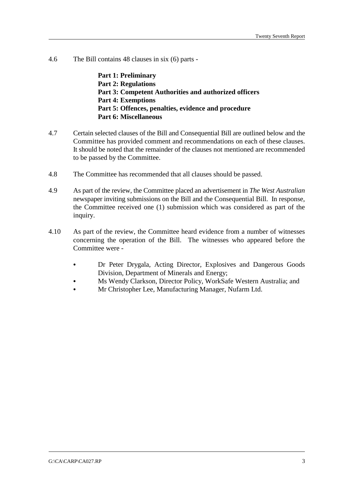4.6 The Bill contains 48 clauses in six (6) parts -

**Part 1: Preliminary Part 2: Regulations Part 3: Competent Authorities and authorized officers Part 4: Exemptions Part 5: Offences, penalties, evidence and procedure Part 6: Miscellaneous**

- 4.7 Certain selected clauses of the Bill and Consequential Bill are outlined below and the Committee has provided comment and recommendations on each of these clauses. It should be noted that the remainder of the clauses not mentioned are recommended to be passed by the Committee.
- 4.8 The Committee has recommended that all clauses should be passed.
- 4.9 As part of the review, the Committee placed an advertisement in *The West Australian* newspaper inviting submissions on the Bill and the Consequential Bill. In response, the Committee received one (1) submission which was considered as part of the inquiry.
- 4.10 As part of the review, the Committee heard evidence from a number of witnesses concerning the operation of the Bill. The witnesses who appeared before the Committee were -
	- & Dr Peter Drygala, Acting Director, Explosives and Dangerous Goods Division, Department of Minerals and Energy;
	- & Ms Wendy Clarkson, Director Policy, WorkSafe Western Australia; and
	- & Mr Christopher Lee, Manufacturing Manager, Nufarm Ltd.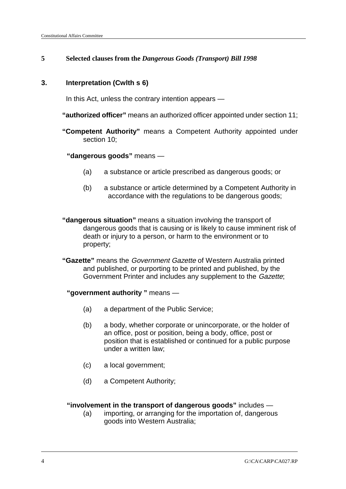### **5 Selected clauses from the** *Dangerous Goods (Transport) Bill 1998*

#### **3. Interpretation (Cwlth s 6)**

In this Act, unless the contrary intention appears —

**"authorized officer"** means an authorized officer appointed under section 11;

**"Competent Authority"** means a Competent Authority appointed under section 10;

### **"dangerous goods"** means —

- (a) a substance or article prescribed as dangerous goods; or
- (b) a substance or article determined by a Competent Authority in accordance with the regulations to be dangerous goods;
- **"dangerous situation"** means a situation involving the transport of dangerous goods that is causing or is likely to cause imminent risk of death or injury to a person, or harm to the environment or to property;
- **"Gazette"** means the Government Gazette of Western Australia printed and published, or purporting to be printed and published, by the Government Printer and includes any supplement to the Gazette;
	- **"government authority "** means
		- (a) a department of the Public Service;
		- (b) a body, whether corporate or unincorporate, or the holder of an office, post or position, being a body, office, post or position that is established or continued for a public purpose under a written law;
		- (c) a local government;
		- (d) a Competent Authority;

## **"involvement in the transport of dangerous goods"** includes —

(a) importing, or arranging for the importation of, dangerous goods into Western Australia;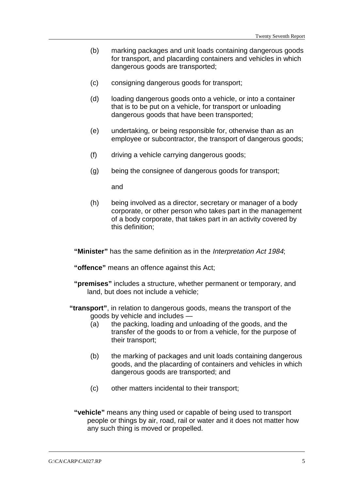- (b) marking packages and unit loads containing dangerous goods for transport, and placarding containers and vehicles in which dangerous goods are transported;
- (c) consigning dangerous goods for transport;
- (d) loading dangerous goods onto a vehicle, or into a container that is to be put on a vehicle, for transport or unloading dangerous goods that have been transported;
- (e) undertaking, or being responsible for, otherwise than as an employee or subcontractor, the transport of dangerous goods;
- (f) driving a vehicle carrying dangerous goods;
- (g) being the consignee of dangerous goods for transport;

and

(h) being involved as a director, secretary or manager of a body corporate, or other person who takes part in the management of a body corporate, that takes part in an activity covered by this definition;

**"Minister"** has the same definition as in the Interpretation Act 1984;

**"offence"** means an offence against this Act;

- **"premises"** includes a structure, whether permanent or temporary, and land, but does not include a vehicle;
- **"transport"**, in relation to dangerous goods, means the transport of the goods by vehicle and includes —
	- (a) the packing, loading and unloading of the goods, and the transfer of the goods to or from a vehicle, for the purpose of their transport;
	- (b) the marking of packages and unit loads containing dangerous goods, and the placarding of containers and vehicles in which dangerous goods are transported; and
	- (c) other matters incidental to their transport;
	- **"vehicle"** means any thing used or capable of being used to transport people or things by air, road, rail or water and it does not matter how any such thing is moved or propelled.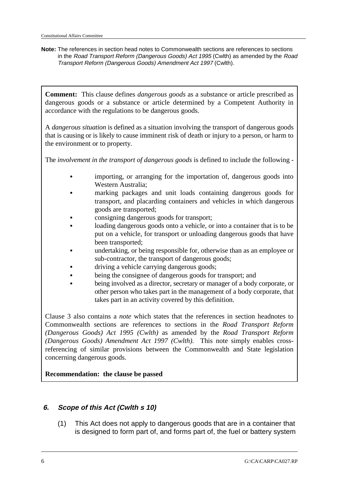**Note:** The references in section head notes to Commonwealth sections are references to sections in the Road Transport Reform (Dangerous Goods) Act 1995 (Cwlth) as amended by the Road Transport Reform (Dangerous Goods) Amendment Act 1997 (Cwlth).

**Comment:** This clause defines *dangerous goods* as a substance or article prescribed as dangerous goods or a substance or article determined by a Competent Authority in accordance with the regulations to be dangerous goods.

A *dangerous situation* is defined as a situation involving the transport of dangerous goods that is causing or is likely to cause imminent risk of death or injury to a person, or harm to the environment or to property.

The *involvement in the transport of dangerous goods* is defined to include the following -

- importing, or arranging for the importation of, dangerous goods into Western Australia;
- marking packages and unit loads containing dangerous goods for transport, and placarding containers and vehicles in which dangerous goods are transported;
- consigning dangerous goods for transport;
- loading dangerous goods onto a vehicle, or into a container that is to be put on a vehicle, for transport or unloading dangerous goods that have been transported;
- undertaking, or being responsible for, otherwise than as an employee or sub-contractor, the transport of dangerous goods;
- driving a vehicle carrying dangerous goods;
- being the consignee of dangerous goods for transport; and
- being involved as a director, secretary or manager of a body corporate, or other person who takes part in the management of a body corporate, that takes part in an activity covered by this definition.

Clause 3 also contains a *note* which states that the references in section headnotes to Commonwealth sections are references to sections in the *Road Transport Reform (Dangerous Goods) Act 1995 (Cwlth)* as amended by the *Road Transport Reform (Dangerous Goods) Amendment Act 1997 (Cwlth).* This note simply enables crossreferencing of similar provisions between the Commonwealth and State legislation concerning dangerous goods.

#### **Recommendation: the clause be passed**

#### **6. Scope of this Act (Cwlth s 10)**

(1) This Act does not apply to dangerous goods that are in a container that is designed to form part of, and forms part of, the fuel or battery system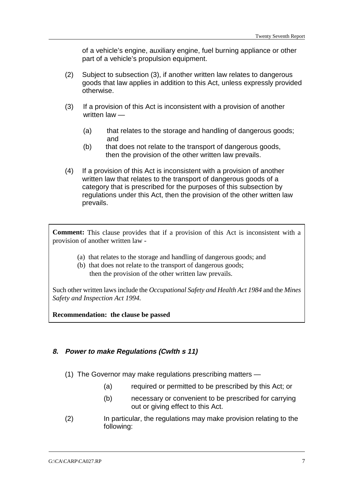of a vehicle's engine, auxiliary engine, fuel burning appliance or other part of a vehicle's propulsion equipment.

- (2) Subject to subsection (3), if another written law relates to dangerous goods that law applies in addition to this Act, unless expressly provided otherwise.
- (3) If a provision of this Act is inconsistent with a provision of another written law —
	- (a) that relates to the storage and handling of dangerous goods; and
	- (b) that does not relate to the transport of dangerous goods, then the provision of the other written law prevails.
- (4) If a provision of this Act is inconsistent with a provision of another written law that relates to the transport of dangerous goods of a category that is prescribed for the purposes of this subsection by regulations under this Act, then the provision of the other written law prevails.

**Comment:** This clause provides that if a provision of this Act is inconsistent with a provision of another written law -

- (a) that relates to the storage and handling of dangerous goods; and
- (b) that does not relate to the transport of dangerous goods; then the provision of the other written law prevails.

Such other written laws include the *Occupational Safety and Health Act 1984* and the *Mines Safety and Inspection Act 1994.*

**Recommendation: the clause be passed**

#### **8. Power to make Regulations (Cwlth s 11)**

- (1) The Governor may make regulations prescribing matters
	- (a) required or permitted to be prescribed by this Act; or
	- (b) necessary or convenient to be prescribed for carrying out or giving effect to this Act.
- (2) In particular, the regulations may make provision relating to the following: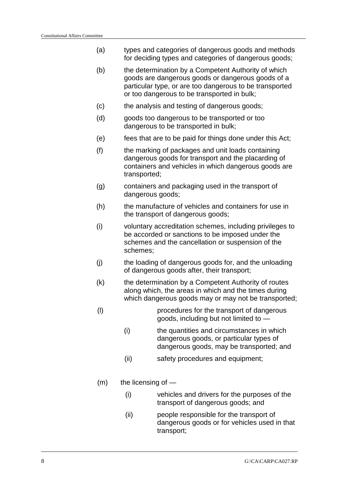- (a) types and categories of dangerous goods and methods for deciding types and categories of dangerous goods;
- (b) the determination by a Competent Authority of which goods are dangerous goods or dangerous goods of a particular type, or are too dangerous to be transported or too dangerous to be transported in bulk;
- (c) the analysis and testing of dangerous goods;
- (d) goods too dangerous to be transported or too dangerous to be transported in bulk;
- (e) fees that are to be paid for things done under this Act;
- (f) the marking of packages and unit loads containing dangerous goods for transport and the placarding of containers and vehicles in which dangerous goods are transported;
- (g) containers and packaging used in the transport of dangerous goods;
- (h) the manufacture of vehicles and containers for use in the transport of dangerous goods;
- (i) voluntary accreditation schemes, including privileges to be accorded or sanctions to be imposed under the schemes and the cancellation or suspension of the schemes;
- (j) the loading of dangerous goods for, and the unloading of dangerous goods after, their transport;
- (k) the determination by a Competent Authority of routes along which, the areas in which and the times during which dangerous goods may or may not be transported;
- (l) procedures for the transport of dangerous goods, including but not limited to —
	- (i) the quantities and circumstances in which dangerous goods, or particular types of dangerous goods, may be transported; and
	- (ii) safety procedures and equipment;
- $(m)$  the licensing of  $-$ 
	- (i) vehicles and drivers for the purposes of the transport of dangerous goods; and
	- (ii) people responsible for the transport of dangerous goods or for vehicles used in that transport;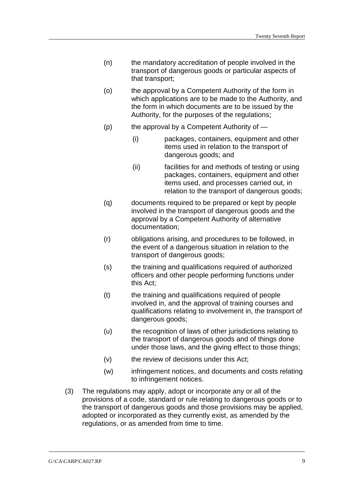- (n) the mandatory accreditation of people involved in the transport of dangerous goods or particular aspects of that transport;
- (o) the approval by a Competent Authority of the form in which applications are to be made to the Authority, and the form in which documents are to be issued by the Authority, for the purposes of the regulations;
- $(p)$  the approval by a Competent Authority of  $-$ 
	- (i) packages, containers, equipment and other items used in relation to the transport of dangerous goods; and
	- (ii) facilities for and methods of testing or using packages, containers, equipment and other items used, and processes carried out, in relation to the transport of dangerous goods;
- (q) documents required to be prepared or kept by people involved in the transport of dangerous goods and the approval by a Competent Authority of alternative documentation;
- (r) obligations arising, and procedures to be followed, in the event of a dangerous situation in relation to the transport of dangerous goods;
- (s) the training and qualifications required of authorized officers and other people performing functions under this Act;
- (t) the training and qualifications required of people involved in, and the approval of training courses and qualifications relating to involvement in, the transport of dangerous goods;
- (u) the recognition of laws of other jurisdictions relating to the transport of dangerous goods and of things done under those laws, and the giving effect to those things;
- (v) the review of decisions under this Act;
- (w) infringement notices, and documents and costs relating to infringement notices.
- (3) The regulations may apply, adopt or incorporate any or all of the provisions of a code, standard or rule relating to dangerous goods or to the transport of dangerous goods and those provisions may be applied, adopted or incorporated as they currently exist, as amended by the regulations, or as amended from time to time.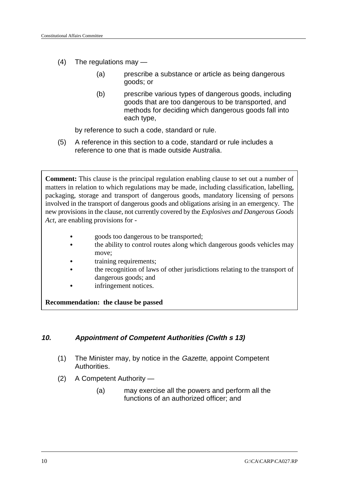- (4) The regulations may
	- (a) prescribe a substance or article as being dangerous goods; or
	- (b) prescribe various types of dangerous goods, including goods that are too dangerous to be transported, and methods for deciding which dangerous goods fall into each type,

by reference to such a code, standard or rule.

(5) A reference in this section to a code, standard or rule includes a reference to one that is made outside Australia.

**Comment:** This clause is the principal regulation enabling clause to set out a number of matters in relation to which regulations may be made, including classification, labelling, packaging, storage and transport of dangerous goods, mandatory licensing of persons involved in the transport of dangerous goods and obligations arising in an emergency. The new provisions in the clause, not currently covered by the *Explosives and Dangerous Goods Act,* are enabling provisions for -

- & goods too dangerous to be transported;
- the ability to control routes along which dangerous goods vehicles may move;
- training requirements;
- the recognition of laws of other jurisdictions relating to the transport of dangerous goods; and
- infringement notices.

**Recommendation: the clause be passed**

#### **10. Appointment of Competent Authorities (Cwlth s 13)**

- (1) The Minister may, by notice in the Gazette, appoint Competent Authorities.
- (2) A Competent Authority
	- (a) may exercise all the powers and perform all the functions of an authorized officer; and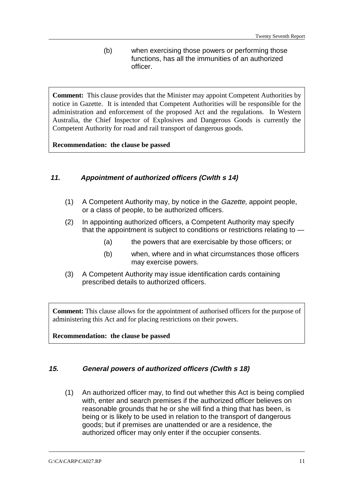(b) when exercising those powers or performing those functions, has all the immunities of an authorized officer.

**Comment:** This clause provides that the Minister may appoint Competent Authorities by notice in Gazette. It is intended that Competent Authorities will be responsible for the administration and enforcement of the proposed Act and the regulations. In Western Australia, the Chief Inspector of Explosives and Dangerous Goods is currently the Competent Authority for road and rail transport of dangerous goods.

#### **Recommendation: the clause be passed**

#### **11. Appointment of authorized officers (Cwlth s 14)**

- (1) A Competent Authority may, by notice in the Gazette, appoint people, or a class of people, to be authorized officers.
- (2) In appointing authorized officers, a Competent Authority may specify that the appointment is subject to conditions or restrictions relating to —
	- (a) the powers that are exercisable by those officers; or
	- (b) when, where and in what circumstances those officers may exercise powers.
- (3) A Competent Authority may issue identification cards containing prescribed details to authorized officers.

**Comment:** This clause allows for the appointment of authorised officers for the purpose of administering this Act and for placing restrictions on their powers.

**Recommendation: the clause be passed**

#### **15. General powers of authorized officers (Cwlth s 18)**

(1) An authorized officer may, to find out whether this Act is being complied with, enter and search premises if the authorized officer believes on reasonable grounds that he or she will find a thing that has been, is being or is likely to be used in relation to the transport of dangerous goods; but if premises are unattended or are a residence, the authorized officer may only enter if the occupier consents.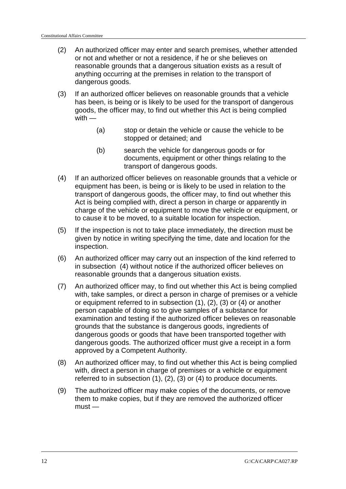- (2) An authorized officer may enter and search premises, whether attended or not and whether or not a residence, if he or she believes on reasonable grounds that a dangerous situation exists as a result of anything occurring at the premises in relation to the transport of dangerous goods.
- (3) If an authorized officer believes on reasonable grounds that a vehicle has been, is being or is likely to be used for the transport of dangerous goods, the officer may, to find out whether this Act is being complied with —
	- (a) stop or detain the vehicle or cause the vehicle to be stopped or detained; and
	- (b) search the vehicle for dangerous goods or for documents, equipment or other things relating to the transport of dangerous goods.
- (4) If an authorized officer believes on reasonable grounds that a vehicle or equipment has been, is being or is likely to be used in relation to the transport of dangerous goods, the officer may, to find out whether this Act is being complied with, direct a person in charge or apparently in charge of the vehicle or equipment to move the vehicle or equipment, or to cause it to be moved, to a suitable location for inspection.
- (5) If the inspection is not to take place immediately, the direction must be given by notice in writing specifying the time, date and location for the inspection.
- (6) An authorized officer may carry out an inspection of the kind referred to in subsection (4) without notice if the authorized officer believes on reasonable grounds that a dangerous situation exists.
- (7) An authorized officer may, to find out whether this Act is being complied with, take samples, or direct a person in charge of premises or a vehicle or equipment referred to in subsection (1), (2), (3) or (4) or another person capable of doing so to give samples of a substance for examination and testing if the authorized officer believes on reasonable grounds that the substance is dangerous goods, ingredients of dangerous goods or goods that have been transported together with dangerous goods. The authorized officer must give a receipt in a form approved by a Competent Authority.
- (8) An authorized officer may, to find out whether this Act is being complied with, direct a person in charge of premises or a vehicle or equipment referred to in subsection (1), (2), (3) or (4) to produce documents.
- (9) The authorized officer may make copies of the documents, or remove them to make copies, but if they are removed the authorized officer  $must -$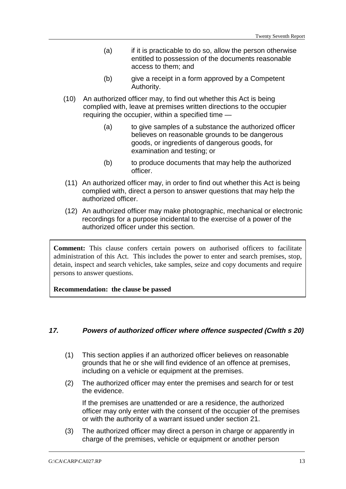- (a) if it is practicable to do so, allow the person otherwise entitled to possession of the documents reasonable access to them; and
- (b) give a receipt in a form approved by a Competent Authority.
- (10) An authorized officer may, to find out whether this Act is being complied with, leave at premises written directions to the occupier requiring the occupier, within a specified time —
	- (a) to give samples of a substance the authorized officer believes on reasonable grounds to be dangerous goods, or ingredients of dangerous goods, for examination and testing; or
	- (b) to produce documents that may help the authorized officer.
- (11) An authorized officer may, in order to find out whether this Act is being complied with, direct a person to answer questions that may help the authorized officer.
- (12) An authorized officer may make photographic, mechanical or electronic recordings for a purpose incidental to the exercise of a power of the authorized officer under this section.

**Comment:** This clause confers certain powers on authorised officers to facilitate administration of this Act. This includes the power to enter and search premises, stop, detain, inspect and search vehicles, take samples, seize and copy documents and require persons to answer questions.

**Recommendation: the clause be passed**

#### **17. Powers of authorized officer where offence suspected (Cwlth s 20)**

- (1) This section applies if an authorized officer believes on reasonable grounds that he or she will find evidence of an offence at premises, including on a vehicle or equipment at the premises.
- (2) The authorized officer may enter the premises and search for or test the evidence.

If the premises are unattended or are a residence, the authorized officer may only enter with the consent of the occupier of the premises or with the authority of a warrant issued under section 21.

(3) The authorized officer may direct a person in charge or apparently in charge of the premises, vehicle or equipment or another person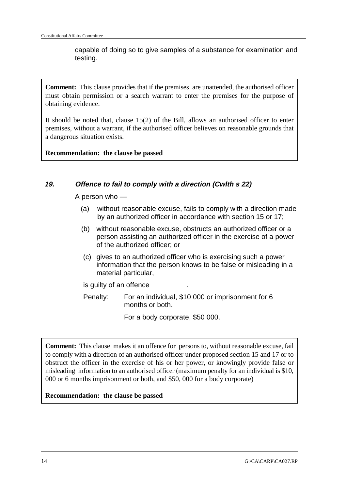capable of doing so to give samples of a substance for examination and testing.

**Comment:** This clause provides that if the premises are unattended, the authorised officer must obtain permission or a search warrant to enter the premises for the purpose of obtaining evidence.

It should be noted that, clause 15(2) of the Bill, allows an authorised officer to enter premises, without a warrant, if the authorised officer believes on reasonable grounds that a dangerous situation exists.

**Recommendation: the clause be passed**

#### **19. Offence to fail to comply with a direction (Cwlth s 22)**

A person who —

- (a) without reasonable excuse, fails to comply with a direction made by an authorized officer in accordance with section 15 or 17;
- (b) without reasonable excuse, obstructs an authorized officer or a person assisting an authorized officer in the exercise of a power of the authorized officer; or
- (c) gives to an authorized officer who is exercising such a power information that the person knows to be false or misleading in a material particular,

is guilty of an offence .

Penalty: For an individual, \$10 000 or imprisonment for 6 months or both.

For a body corporate, \$50 000.

**Comment:** This clause makes it an offence for persons to, without reasonable excuse, fail to comply with a direction of an authorised officer under proposed section 15 and 17 or to obstruct the officer in the exercise of his or her power, or knowingly provide false or misleading information to an authorised officer (maximum penalty for an individual is \$10, 000 or 6 months imprisonment or both, and \$50, 000 for a body corporate)

**Recommendation: the clause be passed**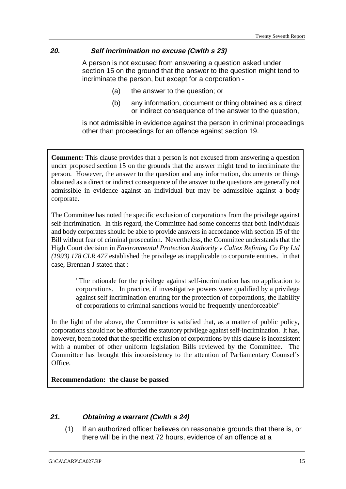#### **20. Self incrimination no excuse (Cwlth s 23)**

A person is not excused from answering a question asked under section 15 on the ground that the answer to the question might tend to incriminate the person, but except for a corporation -

- (a) the answer to the question; or
- (b) any information, document or thing obtained as a direct or indirect consequence of the answer to the question,

is not admissible in evidence against the person in criminal proceedings other than proceedings for an offence against section 19.

**Comment:** This clause provides that a person is not excused from answering a question under proposed section 15 on the grounds that the answer might tend to incriminate the person. However, the answer to the question and any information, documents or things obtained as a direct or indirect consequence of the answer to the questions are generally not admissible in evidence against an individual but may be admissible against a body corporate.

The Committee has noted the specific exclusion of corporations from the privilege against self-incrimination. In this regard, the Committee had some concerns that both individuals and body corporates should be able to provide answers in accordance with section 15 of the Bill without fear of criminal prosecution. Nevertheless, the Committee understands that the High Court decision in *Environmental Protection Authority v Caltex Refining Co Pty Ltd (1993) 178 CLR 477* established the privilege as inapplicable to corporate entities. In that case, Brennan J stated that :

> "The rationale for the privilege against self-incrimination has no application to corporations. In practice, if investigative powers were qualified by a privilege against self incrimination enuring for the protection of corporations, the liability of corporations to criminal sanctions would be frequently unenforceable"

In the light of the above, the Committee is satisfied that, as a matter of public policy, corporations should not be afforded the statutory privilege against self-incrimination. It has, however, been noted that the specific exclusion of corporations by this clause is inconsistent with a number of other uniform legislation Bills reviewed by the Committee. The Committee has brought this inconsistency to the attention of Parliamentary Counsel's Office.

**Recommendation: the clause be passed**

#### **21. Obtaining a warrant (Cwlth s 24)**

(1) If an authorized officer believes on reasonable grounds that there is, or there will be in the next 72 hours, evidence of an offence at a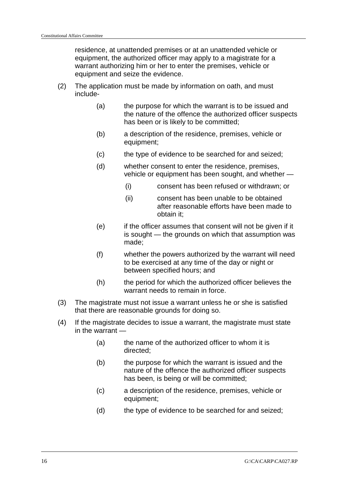residence, at unattended premises or at an unattended vehicle or equipment, the authorized officer may apply to a magistrate for a warrant authorizing him or her to enter the premises, vehicle or equipment and seize the evidence.

- (2) The application must be made by information on oath, and must include-
	- (a) the purpose for which the warrant is to be issued and the nature of the offence the authorized officer suspects has been or is likely to be committed;
	- (b) a description of the residence, premises, vehicle or equipment;
	- (c) the type of evidence to be searched for and seized;
	- (d) whether consent to enter the residence, premises, vehicle or equipment has been sought, and whether —
		- (i) consent has been refused or withdrawn; or
		- (ii) consent has been unable to be obtained after reasonable efforts have been made to obtain it;
	- (e) if the officer assumes that consent will not be given if it is sought — the grounds on which that assumption was made;
	- (f) whether the powers authorized by the warrant will need to be exercised at any time of the day or night or between specified hours; and
	- (h) the period for which the authorized officer believes the warrant needs to remain in force.
- (3) The magistrate must not issue a warrant unless he or she is satisfied that there are reasonable grounds for doing so.
- (4) If the magistrate decides to issue a warrant, the magistrate must state in the warrant —
	- (a) the name of the authorized officer to whom it is directed;
	- (b) the purpose for which the warrant is issued and the nature of the offence the authorized officer suspects has been, is being or will be committed;
	- (c) a description of the residence, premises, vehicle or equipment;
	- (d) the type of evidence to be searched for and seized: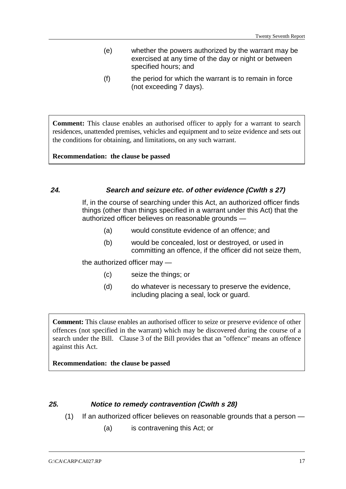- (e) whether the powers authorized by the warrant may be exercised at any time of the day or night or between specified hours; and
- (f) the period for which the warrant is to remain in force (not exceeding 7 days).

**Comment:** This clause enables an authorised officer to apply for a warrant to search residences, unattended premises, vehicles and equipment and to seize evidence and sets out the conditions for obtaining, and limitations, on any such warrant.

**Recommendation: the clause be passed**

#### **24. Search and seizure etc. of other evidence (Cwlth s 27)**

If, in the course of searching under this Act, an authorized officer finds things (other than things specified in a warrant under this Act) that the authorized officer believes on reasonable grounds —

- (a) would constitute evidence of an offence; and
- (b) would be concealed, lost or destroyed, or used in committing an offence, if the officer did not seize them,

the authorized officer may —

- (c) seize the things; or
- (d) do whatever is necessary to preserve the evidence, including placing a seal, lock or guard.

**Comment:** This clause enables an authorised officer to seize or preserve evidence of other offences (not specified in the warrant) which may be discovered during the course of a search under the Bill. Clause 3 of the Bill provides that an "offence" means an offence against this Act.

**Recommendation: the clause be passed**

## **25. Notice to remedy contravention (Cwlth s 28)**

- (1) If an authorized officer believes on reasonable grounds that a person
	- (a) is contravening this Act; or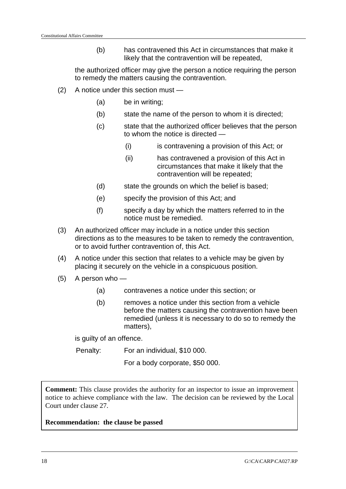(b) has contravened this Act in circumstances that make it likely that the contravention will be repeated,

the authorized officer may give the person a notice requiring the person to remedy the matters causing the contravention.

- (2) A notice under this section must
	- (a) be in writing;
	- (b) state the name of the person to whom it is directed;
	- (c) state that the authorized officer believes that the person to whom the notice is directed —
		- (i) is contravening a provision of this Act; or
		- (ii) has contravened a provision of this Act in circumstances that make it likely that the contravention will be repeated;
	- (d) state the grounds on which the belief is based;
	- (e) specify the provision of this Act; and
	- (f) specify a day by which the matters referred to in the notice must be remedied.
- (3) An authorized officer may include in a notice under this section directions as to the measures to be taken to remedy the contravention, or to avoid further contravention of, this Act.
- (4) A notice under this section that relates to a vehicle may be given by placing it securely on the vehicle in a conspicuous position.
- (5) A person who
	- (a) contravenes a notice under this section; or
	- (b) removes a notice under this section from a vehicle before the matters causing the contravention have been remedied (unless it is necessary to do so to remedy the matters),

is guilty of an offence.

Penalty: For an individual, \$10 000.

For a body corporate, \$50 000.

**Comment:** This clause provides the authority for an inspector to issue an improvement notice to achieve compliance with the law. The decision can be reviewed by the Local Court under clause 27.

**Recommendation: the clause be passed**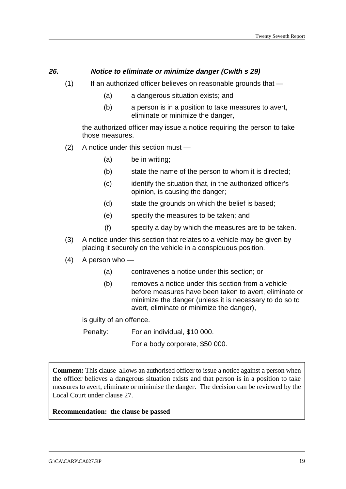#### **26. Notice to eliminate or minimize danger (Cwlth s 29)**

- $(1)$  If an authorized officer believes on reasonable grounds that  $-$ 
	- (a) a dangerous situation exists; and
	- (b) a person is in a position to take measures to avert, eliminate or minimize the danger,

the authorized officer may issue a notice requiring the person to take those measures.

- (2) A notice under this section must
	- (a) be in writing;
	- (b) state the name of the person to whom it is directed;
	- (c) identify the situation that, in the authorized officer's opinion, is causing the danger;
	- (d) state the grounds on which the belief is based;
	- (e) specify the measures to be taken; and
	- (f) specify a day by which the measures are to be taken.
- (3) A notice under this section that relates to a vehicle may be given by placing it securely on the vehicle in a conspicuous position.
- (4) A person who
	- (a) contravenes a notice under this section; or
	- (b) removes a notice under this section from a vehicle before measures have been taken to avert, eliminate or minimize the danger (unless it is necessary to do so to avert, eliminate or minimize the danger),

is guilty of an offence.

Penalty: For an individual, \$10 000.

For a body corporate, \$50 000.

**Comment:** This clause allows an authorised officer to issue a notice against a person when the officer believes a dangerous situation exists and that person is in a position to take measures to avert, eliminate or minimise the danger. The decision can be reviewed by the Local Court under clause 27.

#### **Recommendation: the clause be passed**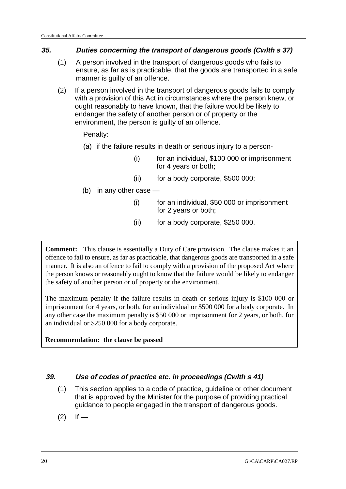### **35. Duties concerning the transport of dangerous goods (Cwlth s 37)**

- (1) A person involved in the transport of dangerous goods who fails to ensure, as far as is practicable, that the goods are transported in a safe manner is guilty of an offence.
- (2) If a person involved in the transport of dangerous goods fails to comply with a provision of this Act in circumstances where the person knew, or ought reasonably to have known, that the failure would be likely to endanger the safety of another person or of property or the environment, the person is guilty of an offence.

Penalty:

- (a) if the failure results in death or serious injury to a person-
	- (i) for an individual, \$100 000 or imprisonment for 4 years or both;
	- (ii) for a body corporate, \$500 000;
- (b) in any other case
	- (i) for an individual, \$50 000 or imprisonment for 2 years or both;
	- (ii) for a body corporate, \$250 000.

**Comment:** This clause is essentially a Duty of Care provision. The clause makes it an offence to fail to ensure, as far as practicable, that dangerous goods are transported in a safe manner. It is also an offence to fail to comply with a provision of the proposed Act where the person knows or reasonably ought to know that the failure would be likely to endanger the safety of another person or of property or the environment.

The maximum penalty if the failure results in death or serious injury is \$100 000 or imprisonment for 4 years, or both, for an individual or \$500 000 for a body corporate. In any other case the maximum penalty is \$50 000 or imprisonment for 2 years, or both, for an individual or \$250 000 for a body corporate.

#### **Recommendation: the clause be passed**

## **39. Use of codes of practice etc. in proceedings (Cwlth s 41)**

- (1) This section applies to a code of practice, guideline or other document that is approved by the Minister for the purpose of providing practical guidance to people engaged in the transport of dangerous goods.
- $(2)$  If —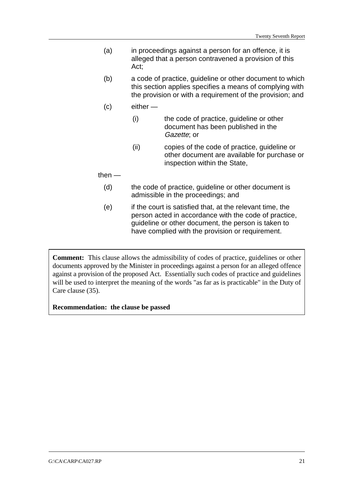- (a) in proceedings against a person for an offence, it is alleged that a person contravened a provision of this Act;
- (b) a code of practice, guideline or other document to which this section applies specifies a means of complying with the provision or with a requirement of the provision; and
- (c) either
	- (i) the code of practice, guideline or other document has been published in the Gazette; or
	- (ii) copies of the code of practice, guideline or other document are available for purchase or inspection within the State,

#### then —

- (d) the code of practice, guideline or other document is admissible in the proceedings; and
- (e) if the court is satisfied that, at the relevant time, the person acted in accordance with the code of practice, guideline or other document, the person is taken to have complied with the provision or requirement.

**Comment:** This clause allows the admissibility of codes of practice, guidelines or other documents approved by the Minister in proceedings against a person for an alleged offence against a provision of the proposed Act. Essentially such codes of practice and guidelines will be used to interpret the meaning of the words "as far as is practicable" in the Duty of Care clause (35).

**Recommendation: the clause be passed**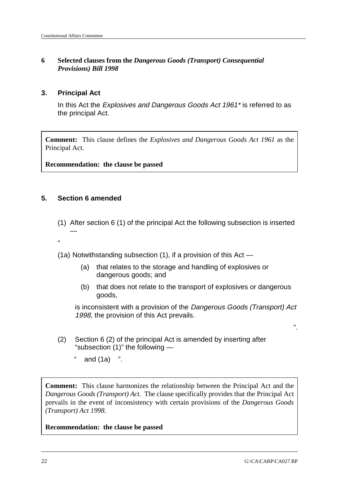#### **6 Selected clauses from the** *Dangerous Goods (Transport) Consequential Provisions) Bill 1998*

#### **3. Principal Act**

In this Act the Explosives and Dangerous Goods Act 1961<sup>\*</sup> is referred to as the principal Act.

**Comment:** This clause defines the *Explosives and Dangerous Goods Act 1961* as the Principal Act.

**Recommendation: the clause be passed**

#### **5. Section 6 amended**

—

"

- (1) After section 6 (1) of the principal Act the following subsection is inserted
- (1a) Notwithstanding subsection (1), if a provision of this Act
	- (a) that relates to the storage and handling of explosives or dangerous goods; and
	- (b) that does not relate to the transport of explosives or dangerous goods,

is inconsistent with a provision of the Dangerous Goods (Transport) Act 1998, the provision of this Act prevails.

- (2) Section 6 (2) of the principal Act is amended by inserting after "subsection (1)" the following —
	- " and  $(1a)$  ".

**Comment:** This clause harmonizes the relationship between the Principal Act and the *Dangerous Goods (Transport) Act*. The clause specifically provides that the Principal Act prevails in the event of inconsistency with certain provisions of the *Dangerous Goods (Transport) Act 1998*.

**Recommendation: the clause be passed**

".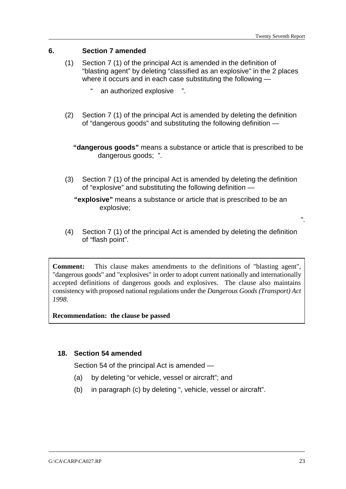#### **6. Section 7 amended**

- (1) Section 7 (1) of the principal Act is amended in the definition of "blasting agent" by deleting "classified as an explosive" in the 2 places where it occurs and in each case substituting the following
	- an authorized explosive ".
- (2) Section 7 (1) of the principal Act is amended by deleting the definition of "dangerous goods" and substituting the following definition —

**"dangerous goods"** means a substance or article that is prescribed to be dangerous goods; ".

(3) Section 7 (1) of the principal Act is amended by deleting the definition of "explosive" and substituting the following definition —

**"explosive"** means a substance or article that is prescribed to be an explosive;

(4) Section 7 (1) of the principal Act is amended by deleting the definition of "flash point".

**Comment:** This clause makes amendments to the definitions of "blasting agent", "dangerous goods" and "explosives" in order to adopt current nationally and internationally accepted definitions of dangerous goods and explosives. The clause also maintains consistency with proposed national regulations under the *Dangerous Goods (Transport) Act 1998.*

**Recommendation: the clause be passed**

#### **18. Section 54 amended**

Section 54 of the principal Act is amended —

- (a) by deleting "or vehicle, vessel or aircraft"; and
- (b) in paragraph (c) by deleting ", vehicle, vessel or aircraft".

".